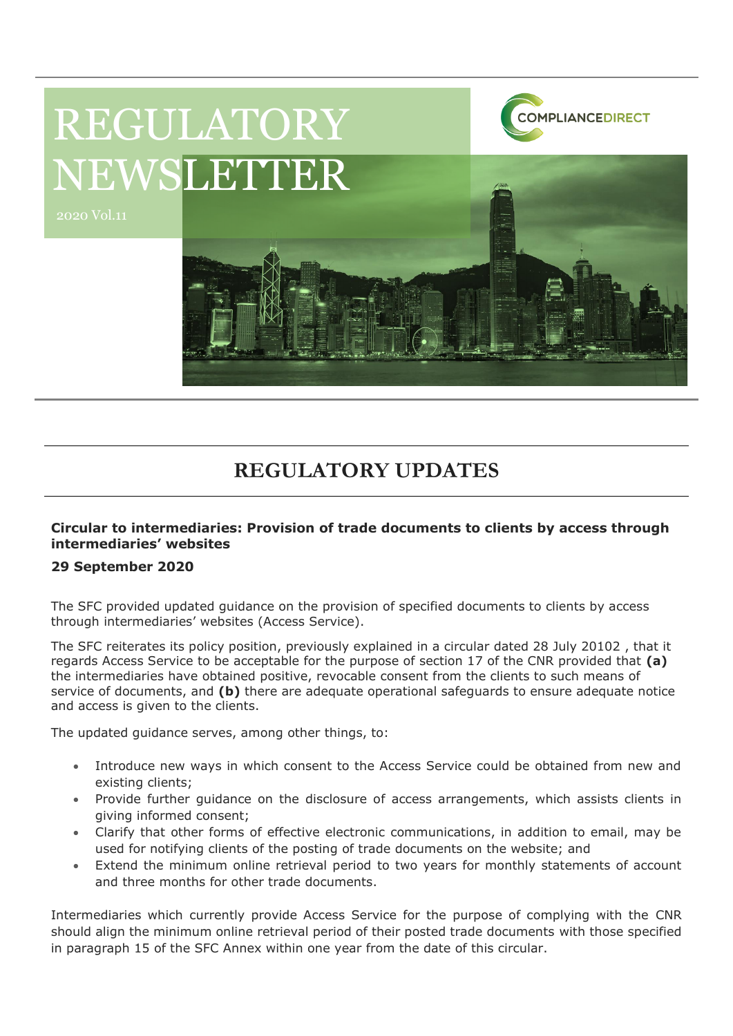

# REGULATORY NEWSLETTER

2020 Vol.11

## **REGULATORY UPDATES**

#### **Circular to intermediaries: Provision of trade documents to clients by access through intermediaries' websites**

#### **29 September 2020**

The SFC provided updated guidance on the provision of specified documents to clients by access through intermediaries' websites (Access Service).

The SFC reiterates its policy position, previously explained in a circular dated 28 July 20102 , that it regards Access Service to be acceptable for the purpose of section 17 of the CNR provided that **(a)** the intermediaries have obtained positive, revocable consent from the clients to such means of service of documents, and **(b)** there are adequate operational safeguards to ensure adequate notice and access is given to the clients.

The updated guidance serves, among other things, to:

- Introduce new ways in which consent to the Access Service could be obtained from new and existing clients;
- Provide further guidance on the disclosure of access arrangements, which assists clients in giving informed consent;
- Clarify that other forms of effective electronic communications, in addition to email, may be used for notifying clients of the posting of trade documents on the website; and
- Extend the minimum online retrieval period to two years for monthly statements of account and three months for other trade documents.

Intermediaries which currently provide Access Service for the purpose of complying with the CNR should align the minimum online retrieval period of their posted trade documents with those specified in paragraph 15 of the SFC Annex within one year from the date of this circular.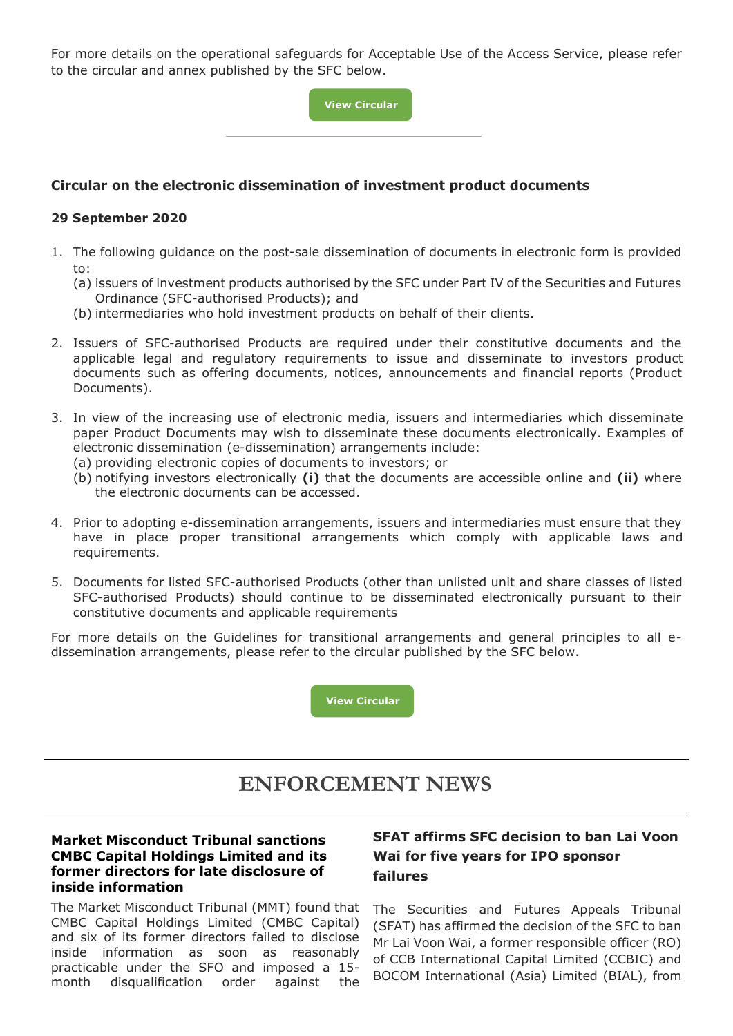For more details on the operational safeguards for Acceptable Use of the Access Service, please refer to the circular and annex published by the SFC below.

> **[View](https://apps.sfc.hk/edistributionWeb/gateway/EN/circular/intermediaries/supervision/doc?refNo=20EC61) [Circular](https://apps.sfc.hk/edistributionWeb/gateway/EN/circular/intermediaries/supervision/doc?refNo=20EC61) [C](https://apps.sfc.hk/edistributionWeb/gateway/EN/circular/intermediaries/supervision/doc?refNo=20EC61)[https://ww](https://www.sfc.hk/edistributionWeb/gateway/EN/circular/intermediaries/supervision/doc?refNo=20EC26)**

#### **Circular on the electronic disseminat[ion of inves](https://www.sfc.hk/edistributionWeb/gateway/EN/circular/intermediaries/supervision/doc?refNo=20EC26)tment product documents**

#### **29 September 2020**

- 1. The following guidance on the post-sale dissemination of documents in electronic form is provided to:
	- (a) issuers of investment products authorised by the SFC under Part IV of the Securities and Futures Ordinance (SFC-authorised Products); and
	- (b) intermediaries who hold investment products on behalf of their clients.
- 2. Issuers of SFC-authorised Products are required under their constitutive documents and the applicable legal and regulatory requirements to issue and disseminate to investors product documents such as offering documents, notices, announcements and financial reports (Product Documents).
- 3. In view of the increasing use of electronic media, issuers and intermediaries which disseminate paper Product Documents may wish to disseminate these documents electronically. Examples of electronic dissemination (e-dissemination) arrangements include:
	- (a) providing electronic copies of documents to investors; or
	- (b) notifying investors electronically **(i)** that the documents are accessible online and **(ii)** where the electronic documents can be accessed.
- 4. Prior to adopting e-dissemination arrangements, issuers and intermediaries must ensure that they have in place proper transitional arrangements which comply with applicable laws and requirements.
- 5. Documents for listed SFC-authorised Products (other than unlisted unit and share classes of listed SFC-authorised Products) should continue to be disseminated electronically pursuant to their constitutive documents and applicable requirements

For more details on the Guidelines for transitional arrangements and general principles to all edissemination arrangements, please refer to the circular published by the SFC below.

**[View](https://apps.sfc.hk/edistributionWeb/gateway/EN/circular/intermediaries/supervision/doc?refNo=20EC60) [Circular](https://apps.sfc.hk/edistributionWeb/gateway/EN/circular/intermediaries/supervision/doc?refNo=20EC60)**

### **ENFORCEMENT NEWS**

#### **Market Misconduct Tribunal sanctions CMBC Capital Holdings Limited and its former directors for late disclosure of inside information**

The Market Misconduct Tribunal (MMT) found that CMBC Capital Holdings Limited (CMBC Capital) and six of its former directors failed to disclose inside information as soon as reasonably practicable under the SFO and imposed a 15 month disqualification order against the

#### **SFAT affirms SFC decision to ban Lai Voon Wai for five years for IPO sponsor failures**

The Securities and Futures Appeals Tribunal (SFAT) has affirmed the decision of the SFC to ban Mr Lai Voon Wai, a former responsible officer (RO) of CCB International Capital Limited (CCBIC) and BOCOM International (Asia) Limited (BIAL), from